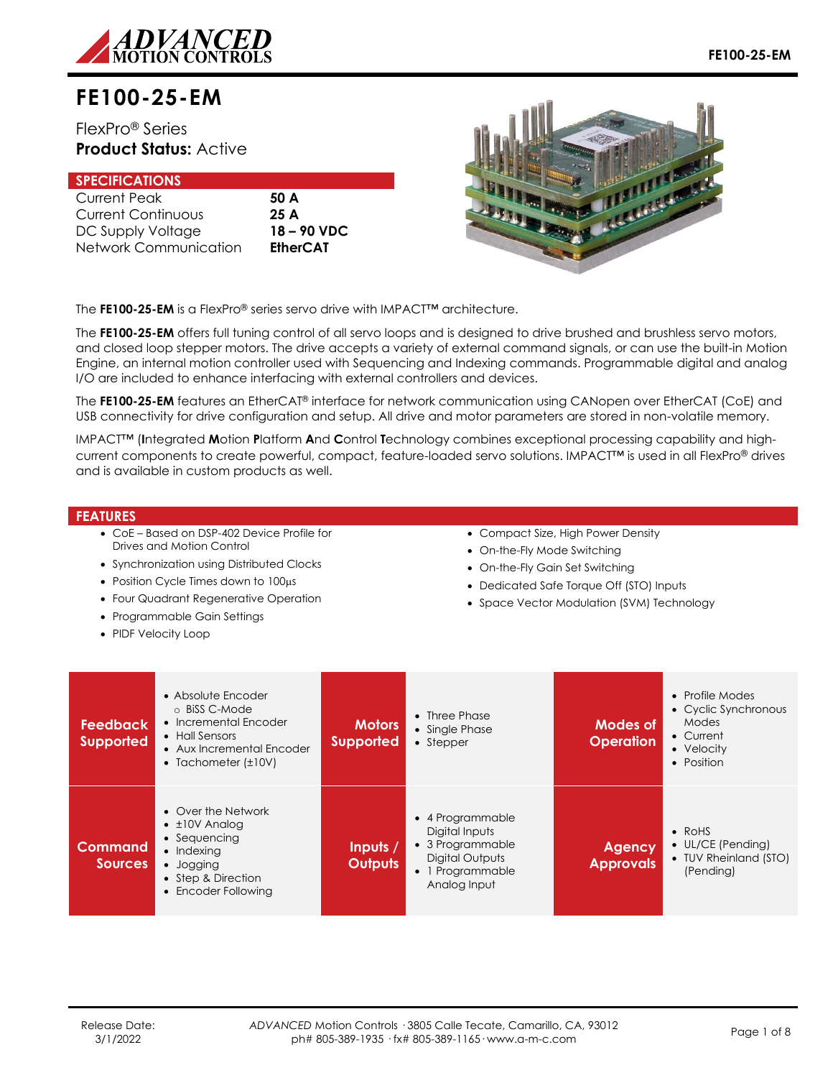

# **FE100-25-EM**

## FlexPro® Series **Product Status:** Active

| <b>SPECIFICATIONS</b>     |                 |
|---------------------------|-----------------|
| <b>Current Peak</b>       | 50 A            |
| <b>Current Continuous</b> | 25A             |
| DC Supply Voltage         | 18 – 90 VDC     |
| Network Communication     | <b>EtherCAT</b> |



The **FE100-25-EM** is a FlexPro® series servo drive with IMPACT™ architecture.

The **FE100-25-EM** offers full tuning control of all servo loops and is designed to drive brushed and brushless servo motors, and closed loop stepper motors. The drive accepts a variety of external command signals, or can use the built-in Motion Engine, an internal motion controller used with Sequencing and Indexing commands. Programmable digital and analog I/O are included to enhance interfacing with external controllers and devices.

The **FE100-25-EM** features an EtherCAT® interface for network communication using CANopen over EtherCAT (CoE) and USB connectivity for drive configuration and setup. All drive and motor parameters are stored in non-volatile memory.

IMPACT™ (**I**ntegrated **M**otion **P**latform **A**nd **C**ontrol **T**echnology combines exceptional processing capability and highcurrent components to create powerful, compact, feature-loaded servo solutions. IMPACT™ is used in all FlexPro® drives and is available in custom products as well.

#### **FEATURES**

- CoE Based on DSP-402 Device Profile for Drives and Motion Control
- Synchronization using Distributed Clocks
- Position Cycle Times down to 100us
- Four Quadrant Regenerative Operation
- Programmable Gain Settings
- PIDF Velocity Loop
- Compact Size, High Power Density
- On-the-Fly Mode Switching
- On-the-Fly Gain Set Switching
- Dedicated Safe Torque Off (STO) Inputs
- Space Vector Modulation (SVM) Technology

| <b>Feedback</b><br><b>Supported</b> | • Absolute Encoder<br>o BiSS C-Mode<br>• Incremental Encoder<br>• Hall Sensors<br>• Aux Incremental Encoder<br>• Tachometer $(\pm 10V)$          | <b>Motors</b><br><b>Supported</b> | • Three Phase<br>• Single Phase<br>• Stepper                                                                  | Modes of<br><b>Operation</b>      | • Profile Modes<br>• Cyclic Synchronous<br>Modes<br>• Current<br>• Velocity<br>• Position |
|-------------------------------------|--------------------------------------------------------------------------------------------------------------------------------------------------|-----------------------------------|---------------------------------------------------------------------------------------------------------------|-----------------------------------|-------------------------------------------------------------------------------------------|
| <b>Command</b><br><b>Sources</b>    | • Over the Network<br>$\bullet$ $\pm$ 10V Analog<br>• Sequencing<br>$\bullet$ Indexing<br>• Jogging<br>• Step & Direction<br>• Encoder Following | Inputs /<br><b>Outputs</b>        | • 4 Programmable<br>Digital Inputs<br>• 3 Programmable<br>Digital Outputs<br>• 1 Programmable<br>Analog Input | <b>Agency</b><br><b>Approvals</b> | $\bullet$ RoHS<br>$\bullet$ UL/CE (Pending)<br>• TUV Rheinland (STO)<br>(Pending)         |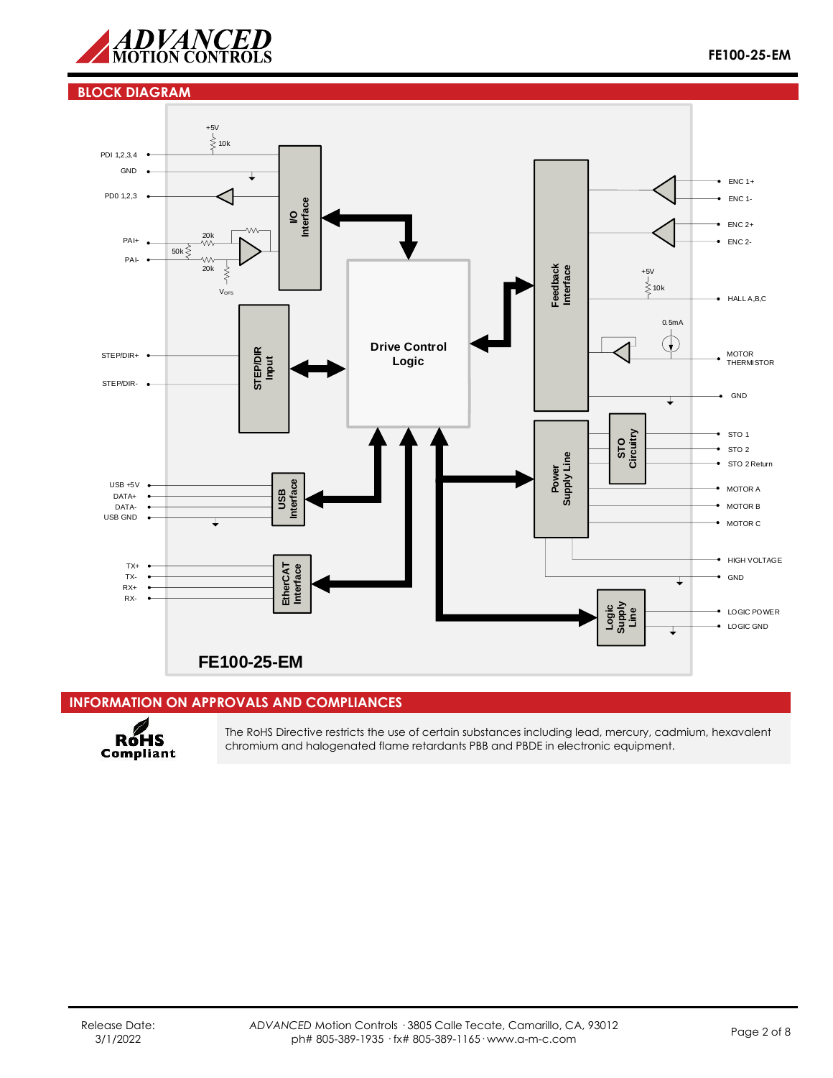

## **BLOCK DIAGRAM**



## **INFORMATION ON APPROVALS AND COMPLIANCES**



The RoHS Directive restricts the use of certain substances including lead, mercury, cadmium, hexavalent chromium and halogenated flame retardants PBB and PBDE in electronic equipment.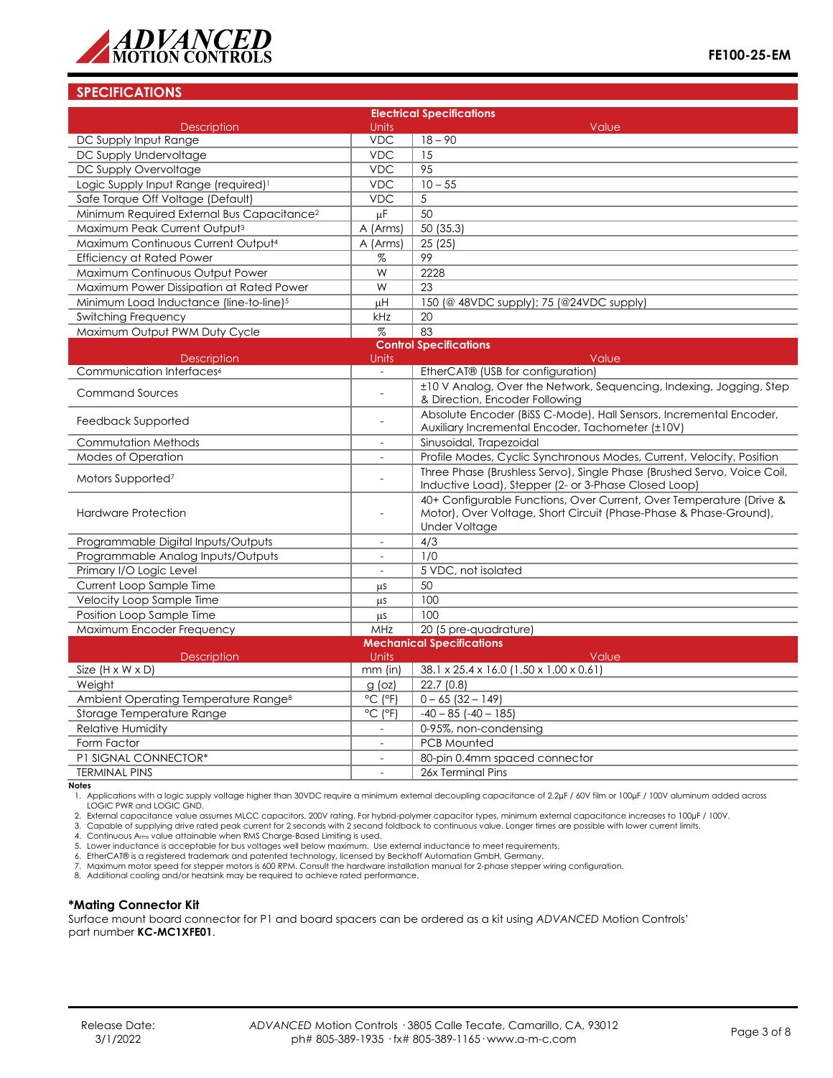

## **SPECIFICATIONS**

| <b>Electrical Specifications</b>                       |                              |                                                                                                                                                                  |  |  |  |
|--------------------------------------------------------|------------------------------|------------------------------------------------------------------------------------------------------------------------------------------------------------------|--|--|--|
| <b>Description</b><br>DC Supply Input Range            | Units<br><b>VDC</b>          | Value<br>$18 - 90$                                                                                                                                               |  |  |  |
| DC Supply Undervoltage                                 | <b>VDC</b>                   | 15                                                                                                                                                               |  |  |  |
| DC Supply Overvoltage                                  | <b>VDC</b>                   | 95                                                                                                                                                               |  |  |  |
| Logic Supply Input Range (required) <sup>1</sup>       | <b>VDC</b>                   | $10 - 55$                                                                                                                                                        |  |  |  |
| Safe Torque Off Voltage (Default)                      | <b>VDC</b>                   | 5                                                                                                                                                                |  |  |  |
| Minimum Required External Bus Capacitance <sup>2</sup> | μF                           | $\overline{50}$                                                                                                                                                  |  |  |  |
| Maximum Peak Current Output <sup>3</sup>               | A (Arms)                     | 50 (35.3)                                                                                                                                                        |  |  |  |
| Maximum Continuous Current Output <sup>4</sup>         | A (Arms)                     | 25(25)                                                                                                                                                           |  |  |  |
| <b>Efficiency at Rated Power</b>                       | %                            | 99                                                                                                                                                               |  |  |  |
| Maximum Continuous Output Power                        | W                            | 2228                                                                                                                                                             |  |  |  |
| Maximum Power Dissipation at Rated Power               | W                            | 23                                                                                                                                                               |  |  |  |
| Minimum Load Inductance (line-to-line) <sup>5</sup>    | μH                           | 150 (@ 48VDC supply); 75 (@24VDC supply)                                                                                                                         |  |  |  |
| <b>Switching Frequency</b>                             | kHz                          | 20                                                                                                                                                               |  |  |  |
| Maximum Output PWM Duty Cycle                          | $\%$                         | 83                                                                                                                                                               |  |  |  |
|                                                        |                              | <b>Control Specifications</b>                                                                                                                                    |  |  |  |
| <b>Description</b>                                     | Units                        | Value                                                                                                                                                            |  |  |  |
| Communication Interfaces <sup>6</sup>                  |                              | EtherCAT® (USB for configuration)                                                                                                                                |  |  |  |
| <b>Command Sources</b>                                 |                              | ±10 V Analog, Over the Network, Sequencing, Indexing, Jogging, Step<br>& Direction, Encoder Following                                                            |  |  |  |
| Feedback Supported                                     |                              | Absolute Encoder (BiSS C-Mode), Hall Sensors, Incremental Encoder,<br>Auxiliary Incremental Encoder, Tachometer (±10V)                                           |  |  |  |
| Commutation Methods                                    |                              | Sinusoidal, Trapezoidal                                                                                                                                          |  |  |  |
| Modes of Operation                                     | $\overline{\phantom{a}}$     | Profile Modes, Cyclic Synchronous Modes, Current, Velocity, Position                                                                                             |  |  |  |
| Motors Supported <sup>7</sup>                          |                              | Three Phase (Brushless Servo), Single Phase (Brushed Servo, Voice Coil,<br>Inductive Load), Stepper (2- or 3-Phase Closed Loop)                                  |  |  |  |
| <b>Hardware Protection</b>                             | $\overline{a}$               | 40+ Configurable Functions, Over Current, Over Temperature (Drive &<br>Motor), Over Voltage, Short Circuit (Phase-Phase & Phase-Ground),<br><b>Under Voltage</b> |  |  |  |
| Programmable Digital Inputs/Outputs                    |                              | 4/3                                                                                                                                                              |  |  |  |
| Programmable Analog Inputs/Outputs                     | $\overline{a}$               | 1/0                                                                                                                                                              |  |  |  |
| Primary I/O Logic Level                                |                              | 5 VDC, not isolated                                                                                                                                              |  |  |  |
| Current Loop Sample Time                               | μs                           | 50                                                                                                                                                               |  |  |  |
| Velocity Loop Sample Time                              | μs                           | 100                                                                                                                                                              |  |  |  |
| Position Loop Sample Time                              | μs                           | 100                                                                                                                                                              |  |  |  |
| Maximum Encoder Frequency                              | MHz                          | 20 (5 pre-quadrature)                                                                                                                                            |  |  |  |
| <b>Mechanical Specifications</b>                       |                              |                                                                                                                                                                  |  |  |  |
| <b>Description</b>                                     | Units                        | Value                                                                                                                                                            |  |  |  |
| Size $(H \times W \times D)$                           | $mm$ (in)                    | 38.1 x 25.4 x 16.0 (1.50 x 1.00 x 0.61)                                                                                                                          |  |  |  |
| Weight                                                 | $g$ (oz)                     | 22.7(0.8)                                                                                                                                                        |  |  |  |
| Ambient Operating Temperature Range <sup>8</sup>       | $^{\circ}$ C ( $^{\circ}$ F) | $0 - 65$ (32 - 149)                                                                                                                                              |  |  |  |
| Storage Temperature Range                              | $^{\circ}$ C ( $^{\circ}$ F) | $-40 - 85$ ( $-40 - 185$ )                                                                                                                                       |  |  |  |
| <b>Relative Humidity</b>                               |                              | 0-95%, non-condensing                                                                                                                                            |  |  |  |
| Form Factor                                            | $\overline{\phantom{a}}$     | <b>PCB Mounted</b>                                                                                                                                               |  |  |  |
| P1 SIGNAL CONNECTOR*                                   | $\overline{a}$               | 80-pin 0.4mm spaced connector                                                                                                                                    |  |  |  |
| <b>TERMINAL PINS</b>                                   |                              | 26x Terminal Pins                                                                                                                                                |  |  |  |

**Notes**

1. Applications with a logic supply voltage higher than 30VDC require a minimum external decoupling capacitance of 2.2µF / 60V film or 100µF / 100V aluminum added across LOGIC PWR and LOGIC GND.

2. External capacitance value assumes MLCC capacitors, 200V rating. For hybrid-polymer capacitor types, minimum external capacitance increases to 100µF / 100V.

3. Capable of supplying drive rated peak current for 2 seconds with 2 second foldback to continuous value. Longer times are possible with lower current limits.

4. Continuous A<sub>rms</sub> value attainable when RMS Charge-Based Limiting is used.<br>5. Lower inductance is acceptable for bus voltages well below maximum. Use external inductance to meet requirements.<br>6. EtherCAT® is a regis

7. Maximum motor speed for stepper motors is 600 RPM. Consult the hardware installation manual for 2-phase stepper wiring configuration.

8. Additional cooling and/or heatsink may be required to achieve rated performance.

#### **\*Mating Connector Kit**

Surface mount board connector for P1 and board spacers can be ordered as a kit using *ADVANCED* Motion Controls' part number **KC-MC1XFE01**.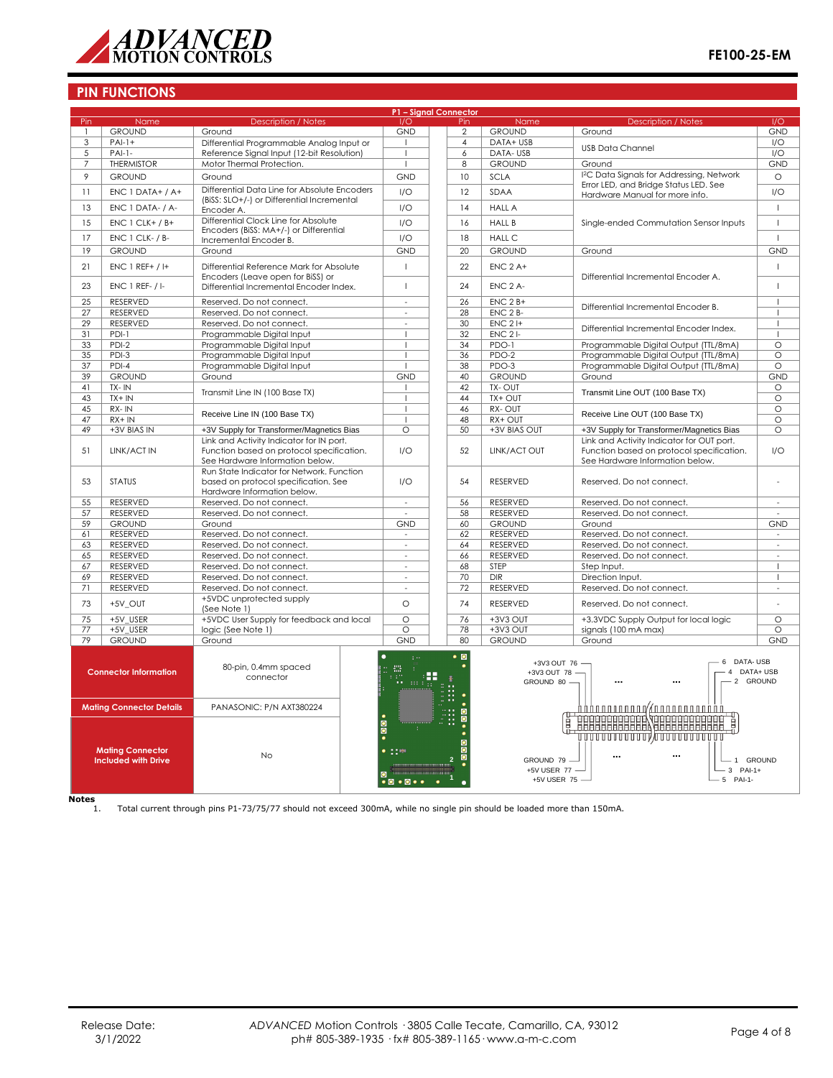

## **PIN FUNCTIONS**

|                                                                    | P1 - Signal Connector                                                                                                       |                                                                                                                          |                                                                           |                  |                                             |                                                      |                                                                                                                           |                     |
|--------------------------------------------------------------------|-----------------------------------------------------------------------------------------------------------------------------|--------------------------------------------------------------------------------------------------------------------------|---------------------------------------------------------------------------|------------------|---------------------------------------------|------------------------------------------------------|---------------------------------------------------------------------------------------------------------------------------|---------------------|
| Pin                                                                | Name                                                                                                                        | <b>Description / Notes</b>                                                                                               | 1/O                                                                       |                  | Pin                                         | Name                                                 | <b>Description / Notes</b>                                                                                                | 1/O                 |
| $\mathbf{1}$                                                       | <b>GROUND</b>                                                                                                               | Ground                                                                                                                   | <b>GND</b>                                                                |                  | $\overline{2}$                              | <b>GROUND</b>                                        | Ground                                                                                                                    | <b>GND</b>          |
| 3                                                                  | $PAI-1+$                                                                                                                    | Differential Programmable Analog Input or                                                                                | $\mathbf{I}$                                                              |                  | 4                                           | DATA+ USB                                            | <b>USB Data Channel</b>                                                                                                   | I/O                 |
| 5                                                                  | $PAI-1-$                                                                                                                    | Reference Signal Input (12-bit Resolution)                                                                               | $\mathbf{I}$                                                              |                  | 6                                           | DATA-USB                                             |                                                                                                                           | I/O                 |
| $\overline{7}$                                                     | <b>THERMISTOR</b>                                                                                                           | Motor Thermal Protection.                                                                                                | $\overline{8}$<br><b>GROUND</b><br>Ground<br>$\overline{1}$               |                  |                                             | <b>GND</b>                                           |                                                                                                                           |                     |
| 9                                                                  | <b>GROUND</b>                                                                                                               | Ground<br><b>GND</b>                                                                                                     |                                                                           |                  | 10                                          | <b>SCLA</b>                                          | I <sup>2</sup> C Data Signals for Addressing, Network                                                                     | $\circ$             |
| 11                                                                 | ENC 1 DATA+ / A+                                                                                                            | Differential Data Line for Absolute Encoders                                                                             | 1/O                                                                       |                  | 12                                          | SDAA                                                 | Error LED, and Bridge Status LED. See                                                                                     | I/O                 |
|                                                                    |                                                                                                                             | (BiSS: SLO+/-) or Differential Incremental                                                                               |                                                                           |                  |                                             |                                                      | Hardware Manual for more info.                                                                                            |                     |
| 13                                                                 | ENC 1 DATA- / A-                                                                                                            | Encoder A.                                                                                                               | I/O                                                                       |                  | 14                                          | <b>HALL A</b>                                        |                                                                                                                           | $\mathbf{I}$        |
| 15                                                                 | $ENC 1 CLK+ / B+$                                                                                                           | Differential Clock Line for Absolute                                                                                     | 1/O                                                                       |                  | 16                                          | <b>HALL B</b>                                        | Single-ended Commutation Sensor Inputs                                                                                    | $\mathsf I$         |
| 17                                                                 | ENC 1 CLK- / B-                                                                                                             | Encoders (BiSS: MA+/-) or Differential                                                                                   | 1/O                                                                       |                  | 18                                          |                                                      |                                                                                                                           | $\mathbf{I}$        |
|                                                                    |                                                                                                                             | Incremental Encoder B.                                                                                                   |                                                                           |                  |                                             | <b>HALL C</b>                                        |                                                                                                                           |                     |
| 19                                                                 | <b>GROUND</b>                                                                                                               | Ground                                                                                                                   | <b>GND</b>                                                                |                  | 20                                          | <b>GROUND</b>                                        | Ground                                                                                                                    | <b>GND</b>          |
| 21                                                                 | $ENC 1$ REF+ $/$ I+                                                                                                         | Differential Reference Mark for Absolute                                                                                 | $\overline{1}$                                                            |                  | 22                                          | $ENC$ $2A+$                                          |                                                                                                                           | $\mathbf{I}$        |
|                                                                    |                                                                                                                             | Encoders (Leave open for BiSS) or                                                                                        |                                                                           |                  |                                             |                                                      | Differential Incremental Encoder A.                                                                                       |                     |
| 23                                                                 | $ENC 1 REF- / I$                                                                                                            | Differential Incremental Encoder Index.                                                                                  | $\overline{1}$                                                            |                  | 24                                          | ENC <sub>2</sub> A-                                  |                                                                                                                           | $\mathbf{I}$        |
|                                                                    |                                                                                                                             |                                                                                                                          |                                                                           |                  |                                             |                                                      |                                                                                                                           |                     |
| 25                                                                 | RESERVED                                                                                                                    | Reserved. Do not connect.                                                                                                | $\omega$                                                                  |                  | 26                                          | $ENC$ 2 $B+$                                         | Differential Incremental Encoder B.                                                                                       | $\mathbf{I}$        |
| $\overline{27}$                                                    | RESERVED                                                                                                                    | Reserved. Do not connect.                                                                                                | ÷,                                                                        |                  | 28                                          | ENC 2 B-                                             |                                                                                                                           |                     |
| 29                                                                 | RESERVED                                                                                                                    | Reserved. Do not connect.                                                                                                | $\sim$                                                                    |                  | 30                                          | $ENC$ 2 $H$                                          | Differential Incremental Encoder Index.                                                                                   | $\mathbf{I}$        |
| 31                                                                 | $PDI-1$                                                                                                                     | Programmable Digital Input                                                                                               | $\overline{1}$                                                            |                  | 32                                          | $ENC2$ -                                             |                                                                                                                           | $\mathbf{I}$        |
| 33                                                                 | $PDI-2$                                                                                                                     | Programmable Digital Input                                                                                               | $\overline{1}$                                                            |                  | 34                                          | PDO-1                                                | Programmable Digital Output (TTL/8mA)                                                                                     | $\circ$             |
| 35                                                                 | $PDI-3$                                                                                                                     | Programmable Digital Input                                                                                               | $\overline{1}$                                                            |                  | 36                                          | $PDO-2$                                              | Programmable Digital Output (TTL/8mA)                                                                                     | $\overline{\circ}$  |
| $\overline{37}$                                                    | $PDI-4$                                                                                                                     | Programmable Digital Input                                                                                               | $\overline{\phantom{a}}$                                                  |                  | 38                                          | PDO-3                                                | Programmable Digital Output (TTL/8mA)                                                                                     | $\circ$             |
| 39                                                                 | <b>GROUND</b>                                                                                                               | Ground                                                                                                                   | <b>GND</b>                                                                |                  | 40                                          | <b>GROUND</b>                                        | Ground                                                                                                                    | <b>GND</b>          |
| 41                                                                 | TX-IN                                                                                                                       | Transmit Line IN (100 Base TX)                                                                                           | $\overline{1}$                                                            |                  | 42                                          | TX-OUT                                               | Transmit Line OUT (100 Base TX)                                                                                           | $\circ$             |
| 43                                                                 | $TX + IN$                                                                                                                   |                                                                                                                          | $\blacksquare$                                                            |                  | 44                                          | TX+ OUT                                              |                                                                                                                           | $\overline{\circ}$  |
| 45                                                                 | RX-IN                                                                                                                       | Receive Line IN (100 Base TX)                                                                                            | $\overline{1}$                                                            |                  | 46                                          | RX-OUT                                               | Receive Line OUT (100 Base TX)                                                                                            | $\circ$             |
| 47                                                                 | $RX + IN$                                                                                                                   |                                                                                                                          | -1                                                                        |                  | 48                                          | RX+ OUT                                              |                                                                                                                           | $\circ$             |
| 49                                                                 | +3V BIAS IN                                                                                                                 | +3V Supply for Transformer/Magnetics Bias                                                                                | $\circ$                                                                   |                  | 50                                          | +3V BIAS OUT                                         | +3V Supply for Transformer/Magnetics Bias                                                                                 | $\circ$             |
| 51                                                                 | LINK/ACT IN                                                                                                                 | Link and Activity Indicator for IN port.<br>Function based on protocol specification.<br>See Hardware Information below. | 1/O                                                                       |                  | 52                                          | LINK/ACT OUT                                         | Link and Activity Indicator for OUT port.<br>Function based on protocol specification.<br>See Hardware Information below. |                     |
| 53                                                                 | <b>STATUS</b>                                                                                                               | Run State Indicator for Network. Function<br>based on protocol specification. See<br>Hardware Information below.         | 1/O                                                                       |                  | 54                                          | <b>RESERVED</b>                                      | Reserved. Do not connect.                                                                                                 | ä,                  |
| 55                                                                 | RESERVED                                                                                                                    | Reserved. Do not connect.                                                                                                | $\sim$                                                                    |                  | 56                                          | RESERVED                                             | Reserved. Do not connect.                                                                                                 | $\sim$              |
| 57                                                                 | RESERVED                                                                                                                    | Reserved. Do not connect.                                                                                                |                                                                           |                  | 58                                          | RESERVED                                             | Reserved. Do not connect.                                                                                                 |                     |
| 59                                                                 | <b>GROUND</b>                                                                                                               | Ground                                                                                                                   | <b>GND</b>                                                                |                  | 60                                          | <b>GROUND</b>                                        | Ground                                                                                                                    | <b>GND</b>          |
| 61                                                                 | RESERVED                                                                                                                    | Reserved. Do not connect.                                                                                                | $\bar{\mathbf{z}}$                                                        |                  | 62                                          | RESERVED                                             | Reserved. Do not connect.                                                                                                 | $\sim$              |
| 63                                                                 | RESERVED                                                                                                                    | Reserved. Do not connect.                                                                                                | ÷,                                                                        |                  | 64                                          | <b>RESERVED</b>                                      | Reserved. Do not connect.                                                                                                 | ÷,                  |
| 65                                                                 | RESERVED                                                                                                                    | Reserved. Do not connect.                                                                                                | $\sim$                                                                    |                  | 66                                          | RESERVED                                             | Reserved. Do not connect.                                                                                                 | $\sim$              |
| 67                                                                 | RESERVED                                                                                                                    | Reserved. Do not connect.                                                                                                | $\sim$                                                                    |                  | 68                                          | STEP                                                 | Step Input.                                                                                                               | $\mathbf{I}$        |
| 69                                                                 | RESERVED                                                                                                                    | Reserved. Do not connect.                                                                                                | $\sim$                                                                    |                  | 70                                          | <b>DIR</b>                                           | Direction Input.                                                                                                          | $\mathbf{I}$        |
| 71                                                                 | RESERVED                                                                                                                    | Reserved. Do not connect.                                                                                                | $\sim$                                                                    |                  | 72                                          | RESERVED                                             | Reserved. Do not connect.                                                                                                 | $\bar{\phantom{a}}$ |
|                                                                    |                                                                                                                             | +5VDC unprotected supply                                                                                                 |                                                                           |                  |                                             |                                                      |                                                                                                                           |                     |
| 73                                                                 | +5V_OUT                                                                                                                     | (See Note 1)                                                                                                             | $\circ$                                                                   |                  | 74                                          | <b>RESERVED</b>                                      | Reserved. Do not connect.                                                                                                 |                     |
| 75                                                                 | +5V USER                                                                                                                    | +5VDC User Supply for feedback and local                                                                                 | $\overline{\circ}$                                                        |                  | 76                                          | $+3V3$ OUT                                           | +3.3VDC Supply Output for local logic                                                                                     | $\circ$             |
| 77                                                                 | +5V USER                                                                                                                    | logic (See Note 1)                                                                                                       | $\overline{\circ}$                                                        |                  | 78                                          | $+3V3$ OUT                                           | signals (100 mA max)                                                                                                      | $\overline{\circ}$  |
| 79                                                                 | <b>GROUND</b>                                                                                                               | Ground                                                                                                                   | <b>GND</b>                                                                |                  | 80                                          | <b>GROUND</b>                                        | Ground                                                                                                                    | <b>GND</b>          |
| 80-pin, 0.4mm spaced<br><b>Connector Information</b><br>connector  |                                                                                                                             | $\pm$ $\sim$<br>靈<br>-F<br>н.                                                                                            |                                                                           | $\bullet$ 0<br>٠ | +3V3 OUT 76 -<br>+3V3 OUT 78<br>GROUND 80 - | - 6 DATA-USB<br>4 DATA+ USB<br>2 GROUND<br>$\ddotsc$ |                                                                                                                           |                     |
|                                                                    | <b>Mating Connector Details</b><br>PANASONIC: P/N AXT380224                                                                 |                                                                                                                          |                                                                           |                  |                                             |                                                      | <b>BEBELEICHER VERBEICHEREN</b>                                                                                           |                     |
| <b>Mating Connector</b><br><b>No</b><br><b>Included with Drive</b> |                                                                                                                             |                                                                                                                          | $\frac{1}{\mathbf{0}}$<br>$\bullet$ $\circ$ $\bullet$ $\bullet$ $\bullet$ |                  |                                             | GROUND 79 -<br>+5V USER 77 -<br>+5V USER 75 -        | ,,,,,,,,,,,,,,,,,,,,,,,,,,,,,,,,<br><br>1 GROUND<br>3 PAI-1+<br>$-5$ PAI-1-                                               |                     |
| <b>Notes</b>                                                       | Total current through pins P1-73/75/77 should not exceed 300mA, while no single pin should be loaded more than 150mA.<br>1. |                                                                                                                          |                                                                           |                  |                                             |                                                      |                                                                                                                           |                     |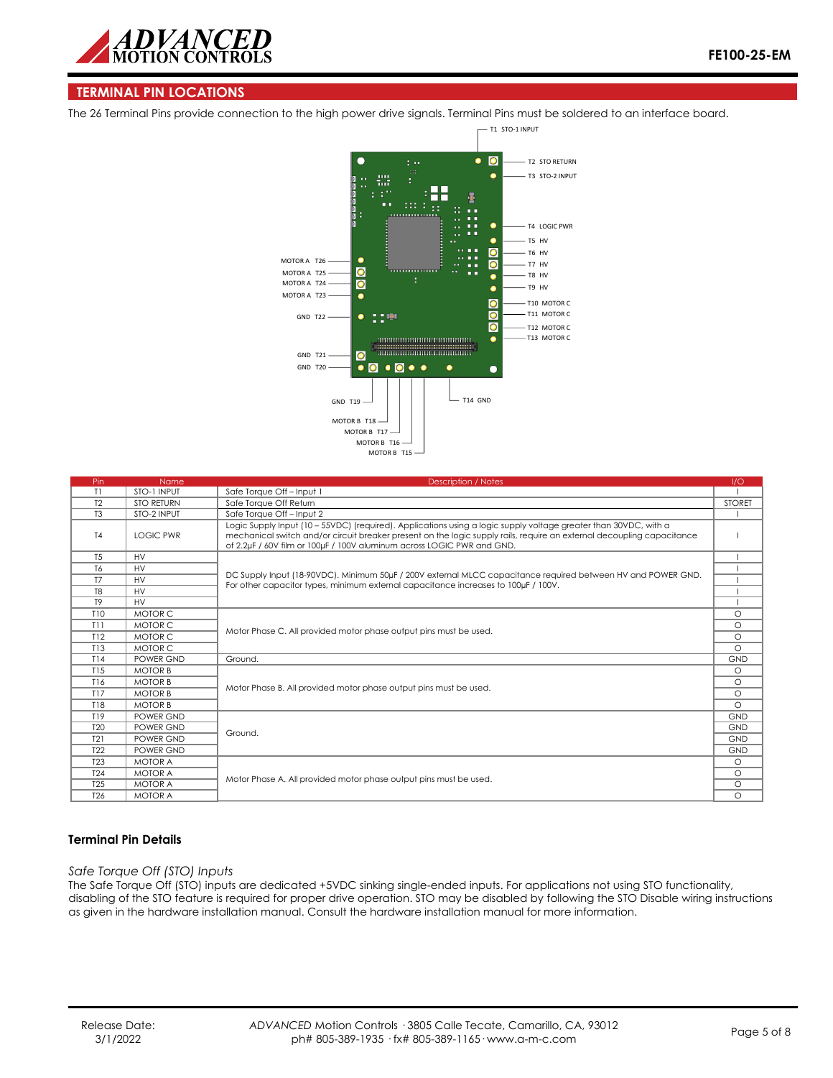

## **TERMINAL PIN LOCATIONS**

The 26 Terminal Pins provide connection to the high power drive signals. Terminal Pins must be soldered to an interface board.



| Pin             | Name              | <b>Description / Notes</b>                                                                                                                                                                                                                                                                                           | 1/O           |  |  |
|-----------------|-------------------|----------------------------------------------------------------------------------------------------------------------------------------------------------------------------------------------------------------------------------------------------------------------------------------------------------------------|---------------|--|--|
| T1              | STO-1 INPUT       | Safe Torque Off-Input 1                                                                                                                                                                                                                                                                                              |               |  |  |
| T <sub>2</sub>  | <b>STO RETURN</b> | Safe Torque Off Return                                                                                                                                                                                                                                                                                               | <b>STORET</b> |  |  |
| T <sub>3</sub>  | STO-2 INPUT       | Safe Toraue Off - Input 2                                                                                                                                                                                                                                                                                            |               |  |  |
| T <sub>4</sub>  | <b>LOGIC PWR</b>  | Logic Supply Input (10 - 55VDC) (required). Applications using a logic supply voltage greater than 30VDC, with a<br>mechanical switch and/or circuit breaker present on the logic supply rails, require an external decoupling capacitance<br>of 2.2uF / 60V film or 100uF / 100V aluminum across LOGIC PWR and GND. |               |  |  |
| T <sub>5</sub>  | <b>HV</b>         |                                                                                                                                                                                                                                                                                                                      |               |  |  |
| T6              | <b>HV</b>         |                                                                                                                                                                                                                                                                                                                      |               |  |  |
| <b>T7</b>       | <b>HV</b>         | DC Supply Input (18-90VDC). Minimum 50uF / 200V external MLCC capacitance required between HV and POWER GND.<br>For other capacitor types, minimum external capacitance increases to 100uF / 100V.                                                                                                                   |               |  |  |
| T <sub>8</sub>  | <b>HV</b>         |                                                                                                                                                                                                                                                                                                                      |               |  |  |
| T <sub>9</sub>  | <b>HV</b>         |                                                                                                                                                                                                                                                                                                                      |               |  |  |
| T10             | MOTOR C           |                                                                                                                                                                                                                                                                                                                      |               |  |  |
| T11             | MOTOR C           |                                                                                                                                                                                                                                                                                                                      |               |  |  |
| T12             | MOTOR C           | Motor Phase C. All provided motor phase output pins must be used.                                                                                                                                                                                                                                                    |               |  |  |
| T13             | MOTOR C           |                                                                                                                                                                                                                                                                                                                      |               |  |  |
| T14             | POWER GND         | Ground.                                                                                                                                                                                                                                                                                                              | <b>GND</b>    |  |  |
| T15             | <b>MOTOR B</b>    |                                                                                                                                                                                                                                                                                                                      | $\circ$       |  |  |
| T16             | <b>MOTOR B</b>    | Motor Phase B. All provided motor phase output pins must be used.                                                                                                                                                                                                                                                    |               |  |  |
| T17             | <b>MOTOR B</b>    |                                                                                                                                                                                                                                                                                                                      |               |  |  |
| <b>T18</b>      | <b>MOTOR B</b>    |                                                                                                                                                                                                                                                                                                                      |               |  |  |
| T19             | POWER GND         |                                                                                                                                                                                                                                                                                                                      | <b>GND</b>    |  |  |
| T <sub>20</sub> | POWER GND         | Ground.                                                                                                                                                                                                                                                                                                              |               |  |  |
| T21             | POWER GND         |                                                                                                                                                                                                                                                                                                                      |               |  |  |
| T <sub>22</sub> | POWER GND         |                                                                                                                                                                                                                                                                                                                      |               |  |  |
| <b>T23</b>      | <b>MOTOR A</b>    |                                                                                                                                                                                                                                                                                                                      | $\circ$       |  |  |
| T <sub>24</sub> | <b>MOTOR A</b>    | Motor Phase A. All provided motor phase output pins must be used.                                                                                                                                                                                                                                                    |               |  |  |
| T <sub>25</sub> | <b>MOTOR A</b>    |                                                                                                                                                                                                                                                                                                                      |               |  |  |
| T <sub>26</sub> | <b>MOTOR A</b>    |                                                                                                                                                                                                                                                                                                                      |               |  |  |

## **Terminal Pin Details**

#### *Safe Torque Off (STO) Inputs*

The Safe Torque Off (STO) inputs are dedicated +5VDC sinking single-ended inputs. For applications not using STO functionality, disabling of the STO feature is required for proper drive operation. STO may be disabled by following the STO Disable wiring instructions as given in the hardware installation manual. Consult the hardware installation manual for more information.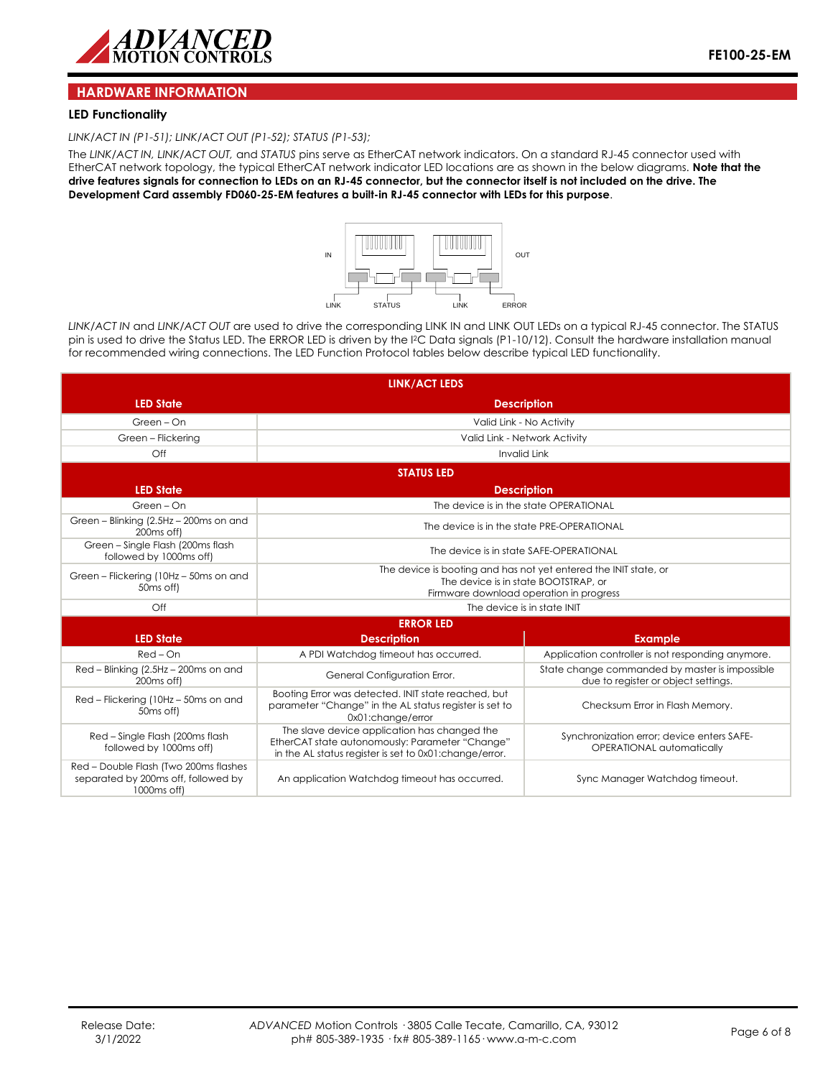

#### **HARDWARE INFORMATION**

#### **LED Functionality**

*LINK/ACT IN (P1-51); LINK/ACT OUT (P1-52); STATUS (P1-53);* 

The *LINK/ACT IN, LINK/ACT OUT,* and *STATUS* pins serve as EtherCAT network indicators. On a standard RJ-45 connector used with EtherCAT network topology, the typical EtherCAT network indicator LED locations are as shown in the below diagrams. **Note that the drive features signals for connection to LEDs on an RJ-45 connector, but the connector itself is not included on the drive. The Development Card assembly FD060-25-EM features a built-in RJ-45 connector with LEDs for this purpose**.



*LINK/ACT IN* and *LINK/ACT OUT* are used to drive the corresponding LINK IN and LINK OUT LEDs on a typical RJ-45 connector. The STATUS pin is used to drive the Status LED. The ERROR LED is driven by the I2C Data signals (P1-10/12). Consult the hardware installation manual for recommended wiring connections. The LED Function Protocol tables below describe typical LED functionality.

| <b>LINK/ACT LEDS</b>                                                                                    |                                                                                                                                                            |                                                                                       |  |  |  |  |
|---------------------------------------------------------------------------------------------------------|------------------------------------------------------------------------------------------------------------------------------------------------------------|---------------------------------------------------------------------------------------|--|--|--|--|
| <b>LED State</b>                                                                                        | <b>Description</b>                                                                                                                                         |                                                                                       |  |  |  |  |
| Green - On                                                                                              | Valid Link - No Activity                                                                                                                                   |                                                                                       |  |  |  |  |
| Green - Flickering                                                                                      |                                                                                                                                                            | Valid Link - Network Activity                                                         |  |  |  |  |
| $\bigcirc$ ff                                                                                           |                                                                                                                                                            | <b>Invalid Link</b>                                                                   |  |  |  |  |
|                                                                                                         | <b>STATUS LED</b>                                                                                                                                          |                                                                                       |  |  |  |  |
| <b>LED State</b>                                                                                        |                                                                                                                                                            | <b>Description</b>                                                                    |  |  |  |  |
| Green - On                                                                                              |                                                                                                                                                            | The device is in the state OPERATIONAL                                                |  |  |  |  |
| Green - Blinking (2.5Hz - 200ms on and<br>200 <sub>ms</sub> off)                                        |                                                                                                                                                            | The device is in the state PRE-OPERATIONAL                                            |  |  |  |  |
| Green - Single Flash (200ms flash<br>followed by 1000ms off)                                            | The device is in state SAFE-OPERATIONAL                                                                                                                    |                                                                                       |  |  |  |  |
| Green - Flickering (10Hz - 50ms on and<br>50 <sub>ms</sub> off)                                         | The device is booting and has not yet entered the INIT state, or<br>The device is in state BOOTSTRAP, or<br>Firmware download operation in progress        |                                                                                       |  |  |  |  |
| $\bigcirc$ ff                                                                                           | The device is in state INIT                                                                                                                                |                                                                                       |  |  |  |  |
| <b>ERROR LED</b>                                                                                        |                                                                                                                                                            |                                                                                       |  |  |  |  |
| <b>LED State</b>                                                                                        | <b>Description</b>                                                                                                                                         | <b>Example</b>                                                                        |  |  |  |  |
| $Red$ – $On$                                                                                            | A PDI Watchdog timeout has occurred.                                                                                                                       | Application controller is not responding anymore.                                     |  |  |  |  |
| Red - Blinking (2.5Hz - 200ms on and<br>200 <sub>ms</sub> off)                                          | General Configuration Error.                                                                                                                               | State change commanded by master is impossible<br>due to register or object settings. |  |  |  |  |
| Red - Flickering (10Hz - 50ms on and<br>50 <sub>ms</sub> off)                                           | Booting Error was detected. INIT state reached, but<br>parameter "Change" in the AL status register is set to<br>0x01:change/error                         | Checksum Error in Flash Memory.                                                       |  |  |  |  |
| Red - Single Flash (200ms flash<br>followed by 1000ms off)                                              | The slave device application has changed the<br>EtherCAT state autonomously: Parameter "Change"<br>in the AL status register is set to 0x01: change/error. | Synchronization error; device enters SAFE-<br>OPERATIONAL automatically               |  |  |  |  |
| Red - Double Flash (Two 200ms flashes<br>separated by 200ms off, followed by<br>1000 <sub>ms</sub> off) | An application Watchdog timeout has occurred.                                                                                                              | Sync Manager Watchdog timeout.                                                        |  |  |  |  |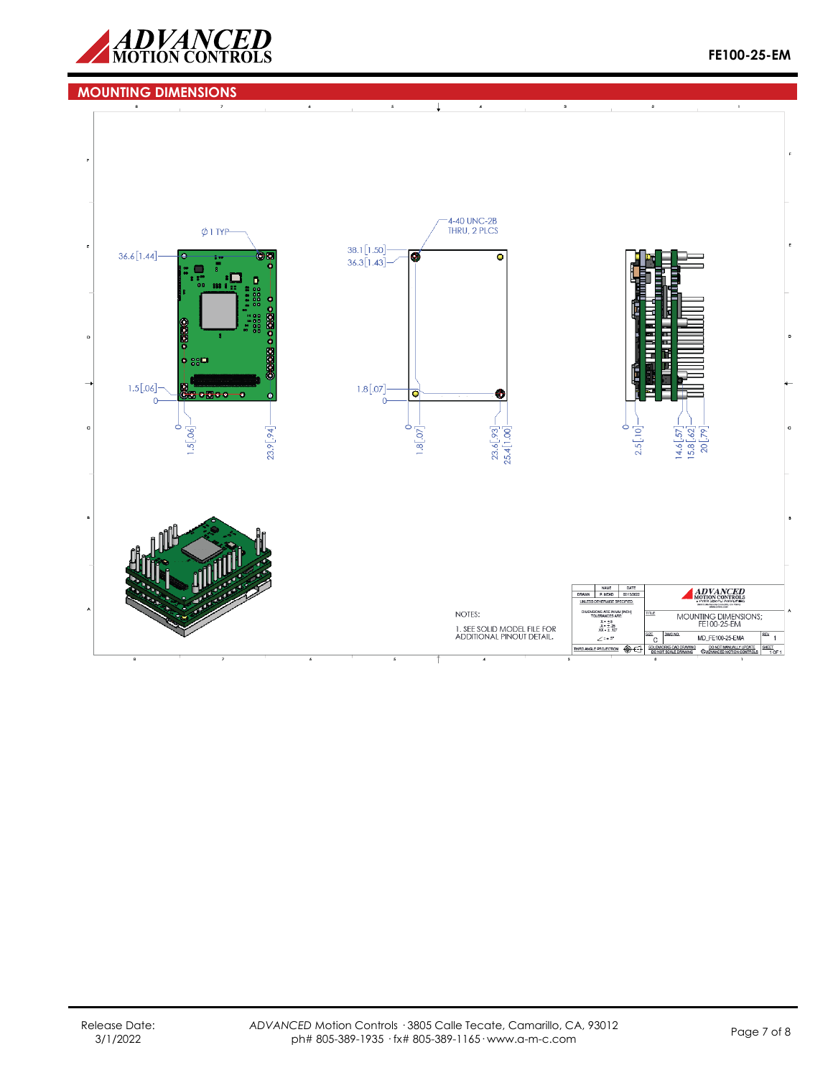